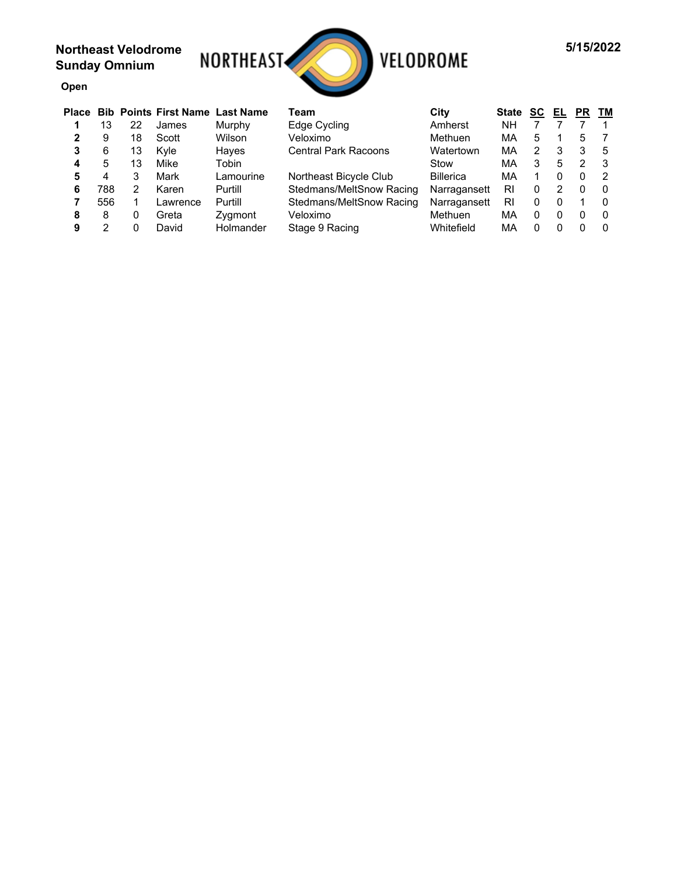**Open**



| <b>Place</b> |     |    | <b>Bib Points First Name Last Name</b> |           | Team                        | City             | <b>State</b> | SC | EL | <b>PR</b> | ТМ            |  |
|--------------|-----|----|----------------------------------------|-----------|-----------------------------|------------------|--------------|----|----|-----------|---------------|--|
|              | 13  | 22 | James                                  | Murphy    | Edge Cycling                | Amherst          | NΗ           |    |    |           |               |  |
| າ            | 9   | 18 | Scott                                  | Wilson    | Veloximo                    | Methuen          | МA           | 5  |    | 5         |               |  |
| 3            | 6   | 13 | Kvle                                   | Hayes     | <b>Central Park Racoons</b> | Watertown        | МA           | 2  | 3  | 3         | -5            |  |
|              | 5   | 13 | Mike                                   | Tobin     |                             | Stow             | МA           | 3  | 5  | っ         | -3            |  |
| 5            | 4   |    | Mark                                   | Lamourine | Northeast Bicycle Club      | <b>Billerica</b> | МA           |    | 0  |           | $\mathcal{P}$ |  |
| 6            | 788 | 2  | Karen                                  | Purtill   | Stedmans/MeltSnow Racing    | Narragansett     | RI           | 0  | 2  | 0         | - 0           |  |
|              | 556 |    | Lawrence                               | Purtill   | Stedmans/MeltSnow Racing    | Narragansett     | RI           | 0  | 0  |           | -0            |  |
| 8            | 8   | 0  | Greta                                  | Zygmont   | Veloximo                    | Methuen          | МA           | 0  | 0  | 0         | -0            |  |
| 9            | ⌒   | 0  | David                                  | Holmander | Stage 9 Racing              | Whitefield       | МA           | 0  | O  |           | -0            |  |